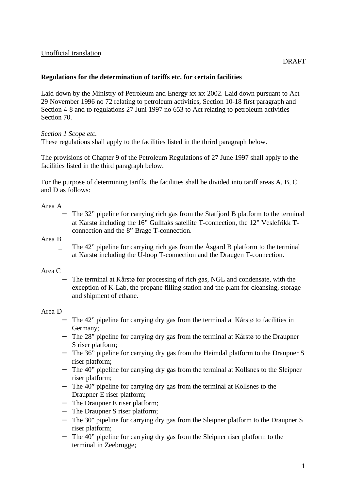### Unofficial translation

### **Regulations for the determination of tariffs etc. for certain facilities**

Laid down by the Ministry of Petroleum and Energy xx xx 2002. Laid down pursuant to Act 29 November 1996 no 72 relating to petroleum activities, Section 10-18 first paragraph and Section 4-8 and to regulations 27 Juni 1997 no 653 to Act relating to petroleum activities Section 70.

*Section 1 Scope etc.*

These regulations shall apply to the facilities listed in the thrird paragraph below.

The provisions of Chapter 9 of the Petroleum Regulations of 27 June 1997 shall apply to the facilities listed in the third paragraph below.

For the purpose of determining tariffs, the facilities shall be divided into tariff areas A, B, C and D as follows:

Area A

The 32" pipeline for carrying rich gas from the Statfjord B platform to the terminal at Kårstø including the 16" Gullfaks satellite T-connection, the 12" Veslefrikk Tconnection and the 8" Brage T-connection.

Area B

The 42" pipeline for carrying rich gas from the Åsgard B platform to the terminal at Kårstø including the U-loop T-connection and the Draugen T-connection.

#### Area C

The terminal at Kårstø for processing of rich gas, NGL and condensate, with the exception of K-Lab, the propane filling station and the plant for cleansing, storage and shipment of ethane.

#### Area D

- − The 42" pipeline for carrying dry gas from the terminal at Kårstø to facilities in Germany;
- − The 28" pipeline for carrying dry gas from the terminal at Kårstø to the Draupner S riser platform;
- − The 36" pipeline for carrying dry gas from the Heimdal platform to the Draupner S riser platform;
- − The 40" pipeline for carrying dry gas from the terminal at Kollsnes to the Sleipner riser platform;
- − The 40" pipeline for carrying dry gas from the terminal at Kollsnes to the Draupner E riser platform;
- − The Draupner E riser platform;
- − The Draupner S riser platform;
- − The 30" pipeline for carrying dry gas from the Sleipner platform to the Draupner S riser platform;
- − The 40" pipeline for carrying dry gas from the Sleipner riser platform to the terminal in Zeebrugge;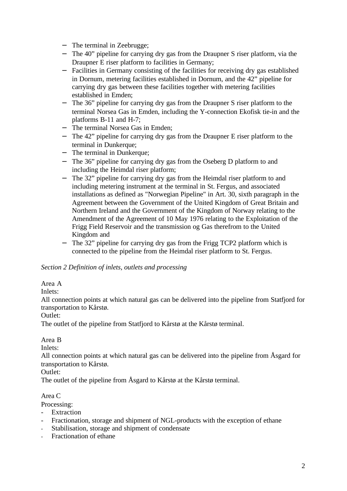- − The terminal in Zeebrugge;
- − The 40" pipeline for carrying dry gas from the Draupner S riser platform, via the Draupner E riser platform to facilities in Germany;
- − Facilities in Germany consisting of the facilities for receiving dry gas established in Dornum, metering facilities established in Dornum, and the 42" pipeline for carrying dry gas between these facilities together with metering facilities established in Emden;
- − The 36" pipeline for carrying dry gas from the Draupner S riser platform to the terminal Norsea Gas in Emden, including the Y-connection Ekofisk tie-in and the platforms B-11 and H-7;
- − The terminal Norsea Gas in Emden;
- − The 42" pipeline for carrying dry gas from the Draupner E riser platform to the terminal in Dunkerque;
- − The terminal in Dunkerque;
- − The 36" pipeline for carrying dry gas from the Oseberg D platform to and including the Heimdal riser platform;
- − The 32" pipeline for carrying dry gas from the Heimdal riser platform to and including metering instrument at the terminal in St. Fergus, and associated installations as defined as "Norwegian Pipeline" in Art. 30, sixth paragraph in the Agreement between the Government of the United Kingdom of Great Britain and Northern Ireland and the Government of the Kingdom of Norway relating to the Amendment of the Agreement of 10 May 1976 relating to the Exploitation of the Frigg Field Reservoir and the transmission og Gas therefrom to the United Kingdom and
- − The 32" pipeline for carrying dry gas from the Frigg TCP2 platform which is connected to the pipeline from the Heimdal riser platform to St. Fergus.

### *Section 2 Definition of inlets, outlets and processing*

### Area A

Inlets:

All connection points at which natural gas can be delivered into the pipeline from Statfjord for transportation to Kårstø.

Outlet:

The outlet of the pipeline from Statfjord to Kårstø at the Kårstø terminal.

### Area B

Inlets:

All connection points at which natural gas can be delivered into the pipeline from Åsgard for transportation to Kårstø.

Outlet:

The outlet of the pipeline from Åsgard to Kårstø at the Kårstø terminal.

### Area C

Processing:

- Extraction
- Fractionation, storage and shipment of NGL-products with the exception of ethane
- Stabilisation, storage and shipment of condensate
- Fractionation of ethane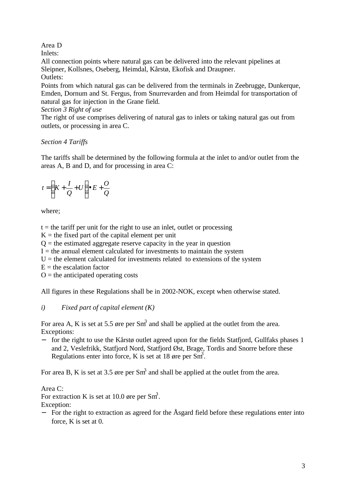## Area D

Inlets:

All connection points where natural gas can be delivered into the relevant pipelines at Sleipner, Kollsnes, Oseberg, Heimdal, Kårstø, Ekofisk and Draupner. Outlets:

Points from which natural gas can be delivered from the terminals in Zeebrugge, Dunkerque, Emden, Dornum and St. Fergus, from Snurrevarden and from Heimdal for transportation of natural gas for injection in the Grane field.

## *Section 3 Right of use*

The right of use comprises delivering of natural gas to inlets or taking natural gas out from outlets, or processing in area C.

# *Section 4 Tariffs*

The tariffs shall be determined by the following formula at the inlet to and/or outlet from the areas A, B and D, and for processing in area C:

$$
t = \left(K + \frac{I}{Q} + U\right) \bullet E + \frac{O}{Q}
$$

where;

 $t =$  the tariff per unit for the right to use an inlet, outlet or processing

 $K =$  the fixed part of the capital element per unit

 $Q =$  the estimated aggregate reserve capacity in the year in question

 $I =$  the annual element calculated for investments to maintain the system

 $U =$  the element calculated for investments related to extensions of the system

 $E =$  the escalation factor

 $O =$  the anticipated operating costs

All figures in these Regulations shall be in 2002-NOK, except when otherwise stated.

# *i) Fixed part of capital element (K)*

For area A, K is set at 5.5 øre per Sm<sup>3</sup> and shall be applied at the outlet from the area. Exceptions:

− for the right to use the Kårstø outlet agreed upon for the fields Statfjord, Gullfaks phases 1 and 2, Veslefrikk, Statfjord Nord, Statfjord Øst, Brage, Tordis and Snorre before these Regulations enter into force, K is set at 18 øre per  $\overrightarrow{Sm}$ .

For area B, K is set at 3.5 øre per Sm<sup>3</sup> and shall be applied at the outlet from the area.

# Area C:

For extraction K is set at 10.0 øre per  $\text{Sm}^3$ .

Exception:

− For the right to extraction as agreed for the Åsgard field before these regulations enter into force, K is set at 0.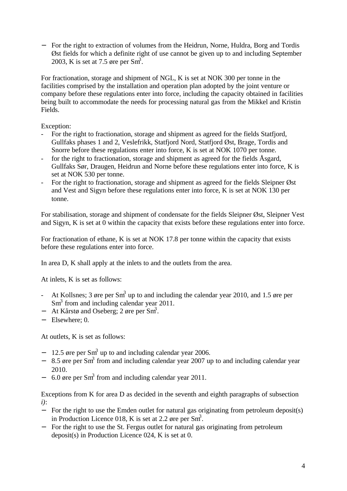− For the right to extraction of volumes from the Heidrun, Norne, Huldra, Borg and Tordis Øst fields for which a definite right of use cannot be given up to and including September 2003, K is set at 7.5 øre per  $\text{Sm}^3$ .

For fractionation, storage and shipment of NGL, K is set at NOK 300 per tonne in the facilities comprised by the installation and operation plan adopted by the joint venture or company before these regulations enter into force, including the capacity obtained in facilities being built to accommodate the needs for processing natural gas from the Mikkel and Kristin Fields.

Exception:

- For the right to fractionation, storage and shipment as agreed for the fields Statfjord, Gullfaks phases 1 and 2, Veslefrikk, Statfjord Nord, Statfjord Øst, Brage, Tordis and Snorre before these regulations enter into force, K is set at NOK 1070 per tonne.
- for the right to fractionation, storage and shipment as agreed for the fields Åsgard, Gullfaks Sør, Draugen, Heidrun and Norne before these regulations enter into force, K is set at NOK 530 per tonne.
- For the right to fractionation, storage and shipment as agreed for the fields Sleipner Øst and Vest and Sigyn before these regulations enter into force, K is set at NOK 130 per tonne.

For stabilisation, storage and shipment of condensate for the fields Sleipner Øst, Sleipner Vest and Sigyn, K is set at 0 within the capacity that exists before these regulations enter into force.

For fractionation of ethane, K is set at NOK 17.8 per tonne within the capacity that exists before these regulations enter into force.

In area D, K shall apply at the inlets to and the outlets from the area.

At inlets, K is set as follows:

- At Kollsnes; 3 øre per Sm<sup>3</sup> up to and including the calendar year 2010, and 1.5 øre per  $\text{Sm}^3$  from and including calendar year 2011.
- − At Kårstø and Oseberg; 2 øre per Sm<sup>3</sup>.
- − Elsewhere; 0.

At outlets, K is set as follows:

- $-$  12.5 øre per Sm<sup>3</sup> up to and including calendar year 2006.
- − 8.5 øre per Sm<sup>3</sup> from and including calendar year 2007 up to and including calendar year 2010.
- − 6.0 øre per Sm<sup>3</sup> from and including calendar year 2011.

Exceptions from K for area D as decided in the seventh and eighth paragraphs of subsection *i)*:

- − For the right to use the Emden outlet for natural gas originating from petroleum deposit(s) in Production Licence 018, K is set at 2.2  $\phi$ re per Sm<sup>3</sup>.
- − For the right to use the St. Fergus outlet for natural gas originating from petroleum deposit(s) in Production Licence 024, K is set at 0.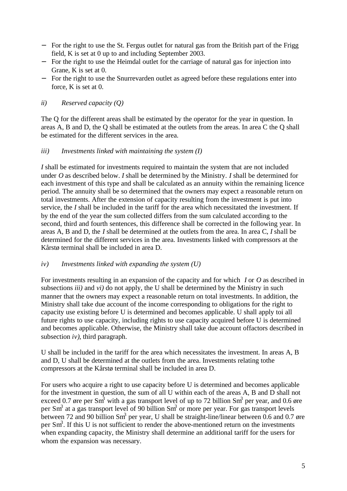- − For the right to use the St. Fergus outlet for natural gas from the British part of the Frigg field, K is set at 0 up to and including September 2003.
- − For the right to use the Heimdal outlet for the carriage of natural gas for injection into Grane, K is set at 0.
- − For the right to use the Snurrevarden outlet as agreed before these regulations enter into force, K is set at 0.

### *ii) Reserved capacity (Q)*

The Q for the different areas shall be estimated by the operator for the year in question. In areas A, B and D, the Q shall be estimated at the outlets from the areas. In area C the Q shall be estimated for the different services in the area.

### *iii) Investments linked with maintaining the system (I)*

*I* shall be estimated for investments required to maintain the system that are not included under *O* as described below. *I* shall be determined by the Ministry. *I* shall be determined for each investment of this type and shall be calculated as an annuity within the remaining licence period. The annuity shall be so determined that the owners may expect a reasonable return on total investments. After the extension of capacity resulting from the investment is put into service, the *I* shall be included in the tariff for the area which necessitated the investment. If by the end of the year the sum collected differs from the sum calculated according to the second, third and fourth sentences, this difference shall be corrected in the following year. In areas A, B and D, the *I* shall be determined at the outlets from the area. In area C, *I* shall be determined for the different services in the area. Investments linked with compressors at the Kårstø terminal shall be included in area D.

### *iv) Investments linked with expanding the system (U)*

For investments resulting in an expansion of the capacity and for which *I* or *O* as described in subsections *iii)* and *vi)* do not apply, the U shall be determined by the Ministry in such manner that the owners may expect a reasonable return on total investments. In addition, the Ministry shall take due account of the income corresponding to obligations for the right to capacity use existing before U is determined and becomes applicable. U shall apply toi all future rights to use capacity, including rights to use capacity acquired before U is determined and becomes applicable. Otherwise, the Ministry shall take due account offactors described in subsection *iv)*, third paragraph.

U shall be included in the tariff for the area which necessitates the investment. In areas A, B and D, U shall be determined at the outlets from the area. Investments relating tothe compressors at the Kårstø terminal shall be included in area D.

For users who acquire a right to use capacity before U is determined and becomes applicable for the investment in question, the sum of all U within each of the areas A, B and D shall not exceed 0.7 øre per Sm<sup>3</sup> with a gas transport level of up to 72 billion Sm<sup>3</sup> per year, and 0.6 øre per Sm<sup>3</sup> at a gas transport level of 90 billion Sm<sup>3</sup> or more per year. For gas transport levels between 72 and 90 billion Sm<sup>3</sup> per year, U shall be straight-line/linear between 0.6 and 0.7 øre per Sm<sup>3</sup>. If this U is not sufficient to render the above-mentioned return on the investments when expanding capacity, the Ministry shall determine an additional tariff for the users for whom the expansion was necessary.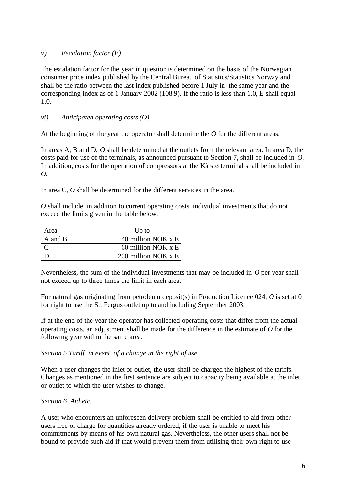### *v) Escalation factor (E)*

The escalation factor for the year in question is determined on the basis of the Norwegian consumer price index published by the Central Bureau of Statistics/Statistics Norway and shall be the ratio between the last index published before 1 July in the same year and the corresponding index as of 1 January 2002 (108.9). If the ratio is less than 1.0, E shall equal 1.0.

### *vi) Anticipated operating costs (O)*

At the beginning of the year the operator shall determine the *O* for the different areas.

In areas A, B and D, *O* shall be determined at the outlets from the relevant area. In area D, the costs paid for use of the terminals, as announced pursuant to Section 7, shall be included in *O*. In addition, costs for the operation of compressors at the Kårstø terminal shall be included in *O*.

In area C, *O* shall be determined for the different services in the area.

*O* shall include, in addition to current operating costs, individual investments that do not exceed the limits given in the table below.

| Area    | Up to                   |
|---------|-------------------------|
| A and B | 40 million NOK x E      |
|         | 60 million NOK $x \nE$  |
|         | 200 million NOK $x \nE$ |

Nevertheless, the sum of the individual investments that may be included in *O* per year shall not exceed up to three times the limit in each area.

For natural gas originating from petroleum deposit(s) in Production Licence 024, *O* is set at 0 for right to use the St. Fergus outlet up to and including September 2003.

If at the end of the year the operator has collected operating costs that differ from the actual operating costs, an adjustment shall be made for the difference in the estimate of *O* for the following year within the same area.

*Section 5 Tariff in event of a change in the right of use*

When a user changes the inlet or outlet, the user shall be charged the highest of the tariffs. Changes as mentioned in the first sentence are subject to capacity being available at the inlet or outlet to which the user wishes to change.

### *Section 6 Aid etc.*

A user who encounters an unforeseen delivery problem shall be entitled to aid from other users free of charge for quantities already ordered, if the user is unable to meet his commitments by means of his own natural gas. Nevertheless, the other users shall not be bound to provide such aid if that would prevent them from utilising their own right to use